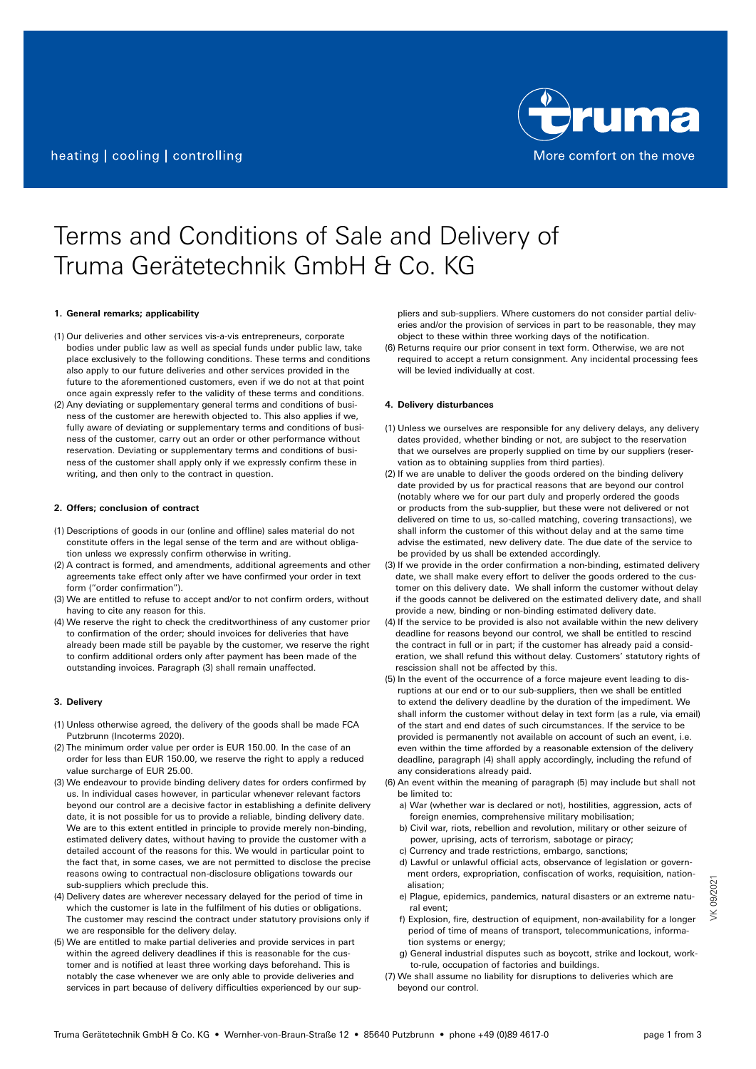

# Terms and Conditions of Sale and Delivery of Truma Gerätetechnik GmbH & Co. KG

## **1. General remarks; applicability**

- (1) Our deliveries and other services vis-a-vis entrepreneurs, corporate bodies under public law as well as special funds under public law, take place exclusively to the following conditions. These terms and conditions also apply to our future deliveries and other services provided in the future to the aforementioned customers, even if we do not at that point once again expressly refer to the validity of these terms and conditions.
- (2) Any deviating or supplementary general terms and conditions of business of the customer are herewith objected to. This also applies if we, fully aware of deviating or supplementary terms and conditions of business of the customer, carry out an order or other performance without reservation. Deviating or supplementary terms and conditions of business of the customer shall apply only if we expressly confirm these in writing, and then only to the contract in question.

#### **2. Offers; conclusion of contract**

- (1) Descriptions of goods in our (online and offline) sales material do not constitute offers in the legal sense of the term and are without obligation unless we expressly confirm otherwise in writing.
- (2) A contract is formed, and amendments, additional agreements and other agreements take effect only after we have confirmed your order in text form ("order confirmation").
- (3) We are entitled to refuse to accept and/or to not confirm orders, without having to cite any reason for this.
- (4) We reserve the right to check the creditworthiness of any customer prior to confirmation of the order; should invoices for deliveries that have already been made still be payable by the customer, we reserve the right to confirm additional orders only after payment has been made of the outstanding invoices. Paragraph (3) shall remain unaffected.

## **3. Delivery**

- (1) Unless otherwise agreed, the delivery of the goods shall be made FCA Putzbrunn (Incoterms 2020).
- (2) The minimum order value per order is EUR 150.00. In the case of an order for less than EUR 150.00, we reserve the right to apply a reduced value surcharge of EUR 25.00.
- (3) We endeavour to provide binding delivery dates for orders confirmed by us. In individual cases however, in particular whenever relevant factors beyond our control are a decisive factor in establishing a definite delivery date, it is not possible for us to provide a reliable, binding delivery date. We are to this extent entitled in principle to provide merely non-binding, estimated delivery dates, without having to provide the customer with a detailed account of the reasons for this. We would in particular point to the fact that, in some cases, we are not permitted to disclose the precise reasons owing to contractual non-disclosure obligations towards our sub-suppliers which preclude this.
- (4) Delivery dates are wherever necessary delayed for the period of time in which the customer is late in the fulfilment of his duties or obligations. The customer may rescind the contract under statutory provisions only if we are responsible for the delivery delay.
- (5) We are entitled to make partial deliveries and provide services in part within the agreed delivery deadlines if this is reasonable for the customer and is notified at least three working days beforehand. This is notably the case whenever we are only able to provide deliveries and services in part because of delivery difficulties experienced by our sup-

pliers and sub-suppliers. Where customers do not consider partial deliveries and/or the provision of services in part to be reasonable, they may object to these within three working days of the notification.

(6) Returns require our prior consent in text form. Otherwise, we are not required to accept a return consignment. Any incidental processing fees will be levied individually at cost.

## **4. Delivery disturbances**

- (1) Unless we ourselves are responsible for any delivery delays, any delivery dates provided, whether binding or not, are subject to the reservation that we ourselves are properly supplied on time by our suppliers (reservation as to obtaining supplies from third parties).
- (2) If we are unable to deliver the goods ordered on the binding delivery date provided by us for practical reasons that are beyond our control (notably where we for our part duly and properly ordered the goods or products from the sub-supplier, but these were not delivered or not delivered on time to us, so-called matching, covering transactions), we shall inform the customer of this without delay and at the same time advise the estimated, new delivery date. The due date of the service to be provided by us shall be extended accordingly.
- (3) If we provide in the order confirmation a non-binding, estimated delivery date, we shall make every effort to deliver the goods ordered to the customer on this delivery date. We shall inform the customer without delay if the goods cannot be delivered on the estimated delivery date, and shall provide a new, binding or non-binding estimated delivery date.
- (4) If the service to be provided is also not available within the new delivery deadline for reasons beyond our control, we shall be entitled to rescind the contract in full or in part; if the customer has already paid a consideration, we shall refund this without delay. Customers' statutory rights of rescission shall not be affected by this.
- (5) In the event of the occurrence of a force majeure event leading to disruptions at our end or to our sub-suppliers, then we shall be entitled to extend the delivery deadline by the duration of the impediment. We shall inform the customer without delay in text form (as a rule, via email) of the start and end dates of such circumstances. If the service to be provided is permanently not available on account of such an event, i.e. even within the time afforded by a reasonable extension of the delivery deadline, paragraph (4) shall apply accordingly, including the refund of any considerations already paid.
- (6) An event within the meaning of paragraph (5) may include but shall not be limited to:
	- a) War (whether war is declared or not), hostilities, aggression, acts of foreign enemies, comprehensive military mobilisation;
	- b) Civil war, riots, rebellion and revolution, military or other seizure of power, uprising, acts of terrorism, sabotage or piracy;
	- c) Currency and trade restrictions, embargo, sanctions;
	- d) Lawful or unlawful official acts, observance of legislation or government orders, expropriation, confiscation of works, requisition, nationalisation;
	- e) Plague, epidemics, pandemics, natural disasters or an extreme natural event;
	- f) Explosion, fire, destruction of equipment, non-availability for a longer period of time of means of transport, telecommunications, information systems or energy;
	- g) General industrial disputes such as boycott, strike and lockout, workto-rule, occupation of factories and buildings.
- (7) We shall assume no liability for disruptions to deliveries which are beyond our control.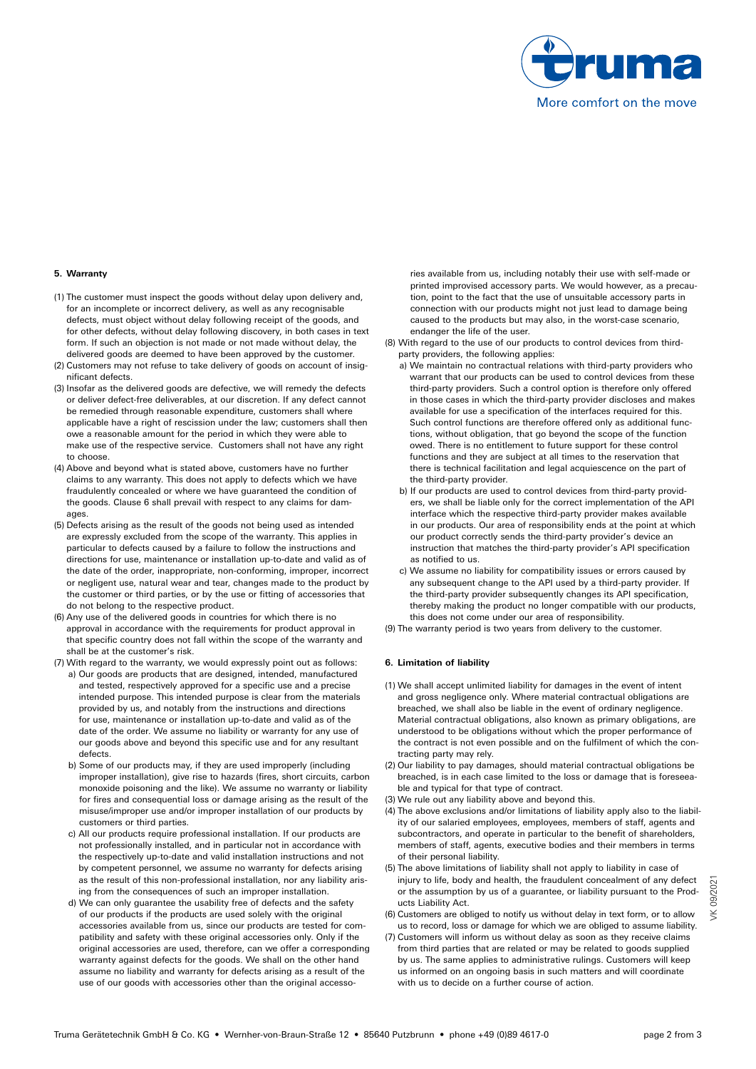

# **5. Warranty**

- (1) The customer must inspect the goods without delay upon delivery and, for an incomplete or incorrect delivery, as well as any recognisable defects, must object without delay following receipt of the goods, and for other defects, without delay following discovery, in both cases in text form. If such an objection is not made or not made without delay, the delivered goods are deemed to have been approved by the customer.
- (2) Customers may not refuse to take delivery of goods on account of insignificant defects.
- (3) Insofar as the delivered goods are defective, we will remedy the defects or deliver defect-free deliverables, at our discretion. If any defect cannot be remedied through reasonable expenditure, customers shall where applicable have a right of rescission under the law; customers shall then owe a reasonable amount for the period in which they were able to make use of the respective service. Customers shall not have any right to choose.
- (4) Above and beyond what is stated above, customers have no further claims to any warranty. This does not apply to defects which we have fraudulently concealed or where we have guaranteed the condition of the goods. Clause 6 shall prevail with respect to any claims for damages.
- (5) Defects arising as the result of the goods not being used as intended are expressly excluded from the scope of the warranty. This applies in particular to defects caused by a failure to follow the instructions and directions for use, maintenance or installation up-to-date and valid as of the date of the order, inappropriate, non-conforming, improper, incorrect or negligent use, natural wear and tear, changes made to the product by the customer or third parties, or by the use or fitting of accessories that do not belong to the respective product.
- (6) Any use of the delivered goods in countries for which there is no approval in accordance with the requirements for product approval in that specific country does not fall within the scope of the warranty and shall be at the customer's risk.
- (7) With regard to the warranty, we would expressly point out as follows:
	- a) Our goods are products that are designed, intended, manufactured and tested, respectively approved for a specific use and a precise intended purpose. This intended purpose is clear from the materials provided by us, and notably from the instructions and directions for use, maintenance or installation up-to-date and valid as of the date of the order. We assume no liability or warranty for any use of our goods above and beyond this specific use and for any resultant defects.
	- b) Some of our products may, if they are used improperly (including improper installation), give rise to hazards (fires, short circuits, carbon monoxide poisoning and the like). We assume no warranty or liability for fires and consequential loss or damage arising as the result of the misuse/improper use and/or improper installation of our products by customers or third parties.
	- c) All our products require professional installation. If our products are not professionally installed, and in particular not in accordance with the respectively up-to-date and valid installation instructions and not by competent personnel, we assume no warranty for defects arising as the result of this non-professional installation, nor any liability arising from the consequences of such an improper installation.
	- d) We can only guarantee the usability free of defects and the safety of our products if the products are used solely with the original accessories available from us, since our products are tested for compatibility and safety with these original accessories only. Only if the original accessories are used, therefore, can we offer a corresponding warranty against defects for the goods. We shall on the other hand assume no liability and warranty for defects arising as a result of the use of our goods with accessories other than the original accesso-

ries available from us, including notably their use with self-made or printed improvised accessory parts. We would however, as a precaution, point to the fact that the use of unsuitable accessory parts in connection with our products might not just lead to damage being caused to the products but may also, in the worst-case scenario, endanger the life of the user.

- (8) With regard to the use of our products to control devices from thirdparty providers, the following applies:
	- a) We maintain no contractual relations with third-party providers who warrant that our products can be used to control devices from these third-party providers. Such a control option is therefore only offered in those cases in which the third-party provider discloses and makes available for use a specification of the interfaces required for this. Such control functions are therefore offered only as additional functions, without obligation, that go beyond the scope of the function owed. There is no entitlement to future support for these control functions and they are subject at all times to the reservation that there is technical facilitation and legal acquiescence on the part of the third-party provider.
	- b) If our products are used to control devices from third-party providers, we shall be liable only for the correct implementation of the API interface which the respective third-party provider makes available in our products. Our area of responsibility ends at the point at which our product correctly sends the third-party provider's device an instruction that matches the third-party provider's API specification as notified to us.
	- c) We assume no liability for compatibility issues or errors caused by any subsequent change to the API used by a third-party provider. If the third-party provider subsequently changes its API specification, thereby making the product no longer compatible with our products, this does not come under our area of responsibility.
- (9) The warranty period is two years from delivery to the customer.

## **6. Limitation of liability**

- (1) We shall accept unlimited liability for damages in the event of intent and gross negligence only. Where material contractual obligations are breached, we shall also be liable in the event of ordinary negligence. Material contractual obligations, also known as primary obligations, are understood to be obligations without which the proper performance of the contract is not even possible and on the fulfilment of which the contracting party may rely.
- (2) Our liability to pay damages, should material contractual obligations be breached, is in each case limited to the loss or damage that is foreseeable and typical for that type of contract.
- (3) We rule out any liability above and beyond this.
- (4) The above exclusions and/or limitations of liability apply also to the liability of our salaried employees, employees, members of staff, agents and subcontractors, and operate in particular to the benefit of shareholders, members of staff, agents, executive bodies and their members in terms of their personal liability.
- (5) The above limitations of liability shall not apply to liability in case of injury to life, body and health, the fraudulent concealment of any defect or the assumption by us of a guarantee, or liability pursuant to the Products Liability Act.
- (6) Customers are obliged to notify us without delay in text form, or to allow us to record, loss or damage for which we are obliged to assume liability.
- (7) Customers will inform us without delay as soon as they receive claims from third parties that are related or may be related to goods supplied by us. The same applies to administrative rulings. Customers will keep us informed on an ongoing basis in such matters and will coordinate with us to decide on a further course of action.